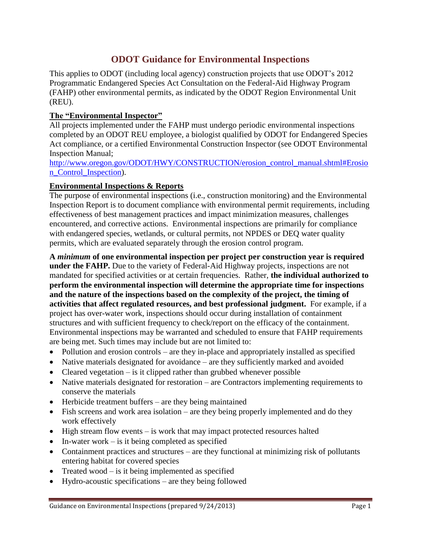## **ODOT Guidance for Environmental Inspections**

This applies to ODOT (including local agency) construction projects that use ODOT's 2012 Programmatic Endangered Species Act Consultation on the Federal-Aid Highway Program (FAHP) other environmental permits, as indicated by the ODOT Region Environmental Unit (REU).

## **The "Environmental Inspector"**

All projects implemented under the FAHP must undergo periodic environmental inspections completed by an ODOT REU employee, a biologist qualified by ODOT for Endangered Species Act compliance, or a certified Environmental Construction Inspector (see ODOT Environmental Inspection Manual;

[http://www.oregon.gov/ODOT/HWY/CONSTRUCTION/erosion\\_control\\_manual.shtml#Erosio](http://www.oregon.gov/ODOT/HWY/CONSTRUCTION/erosion_control_manual.shtml#Erosion_Control_Inspection) [n\\_Control\\_Inspection\)](http://www.oregon.gov/ODOT/HWY/CONSTRUCTION/erosion_control_manual.shtml#Erosion_Control_Inspection).

## **Environmental Inspections & Reports**

The purpose of environmental inspections (i.e., construction monitoring) and the Environmental Inspection Report is to document compliance with environmental permit requirements, including effectiveness of best management practices and impact minimization measures, challenges encountered, and corrective actions. Environmental inspections are primarily for compliance with endangered species, wetlands, or cultural permits, not NPDES or DEQ water quality permits, which are evaluated separately through the erosion control program.

**A** *minimum* **of one environmental inspection per project per construction year is required under the FAHP.** Due to the variety of Federal-Aid Highway projects, inspections are not mandated for specified activities or at certain frequencies. Rather, **the individual authorized to perform the environmental inspection will determine the appropriate time for inspections and the nature of the inspections based on the complexity of the project, the timing of activities that affect regulated resources, and best professional judgment.** For example, if a project has over-water work, inspections should occur during installation of containment structures and with sufficient frequency to check/report on the efficacy of the containment. Environmental inspections may be warranted and scheduled to ensure that FAHP requirements are being met. Such times may include but are not limited to:

- Pollution and erosion controls are they in-place and appropriately installed as specified
- Native materials designated for avoidance are they sufficiently marked and avoided
- Cleared vegetation is it clipped rather than grubbed whenever possible
- Native materials designated for restoration are Contractors implementing requirements to conserve the materials
- Herbicide treatment buffers are they being maintained
- Fish screens and work area isolation are they being properly implemented and do they work effectively
- High stream flow events is work that may impact protected resources halted
- $\bullet$  In-water work is it being completed as specified
- Containment practices and structures are they functional at minimizing risk of pollutants entering habitat for covered species
- Treated wood is it being implemented as specified
- Hydro-acoustic specifications are they being followed